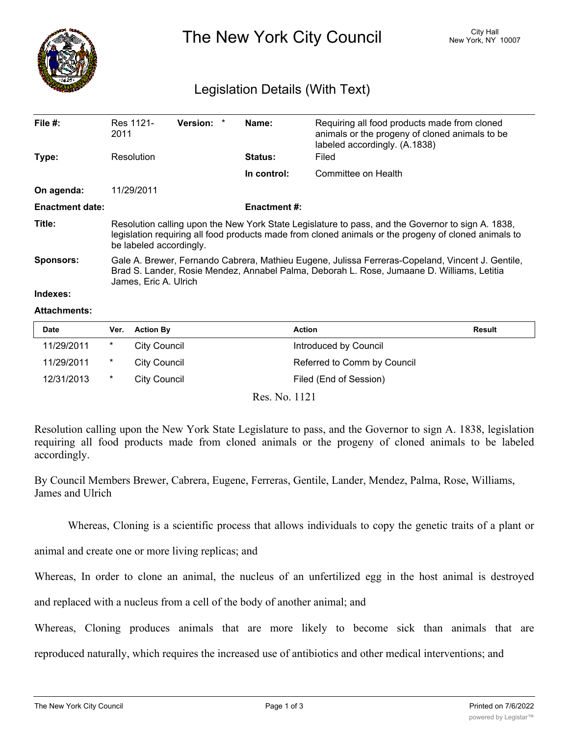

The New York City Council New York, NY 10007

## Legislation Details (With Text)

| File $#$ :             | Res 1121-<br>2011                                                                                                                                                                                                                    | Version: * |  | Name:               | Requiring all food products made from cloned<br>animals or the progeny of cloned animals to be<br>labeled accordingly. (A.1838) |  |  |
|------------------------|--------------------------------------------------------------------------------------------------------------------------------------------------------------------------------------------------------------------------------------|------------|--|---------------------|---------------------------------------------------------------------------------------------------------------------------------|--|--|
| Type:                  | Resolution                                                                                                                                                                                                                           |            |  | <b>Status:</b>      | Filed                                                                                                                           |  |  |
|                        |                                                                                                                                                                                                                                      |            |  | In control:         | Committee on Health                                                                                                             |  |  |
| On agenda:             | 11/29/2011                                                                                                                                                                                                                           |            |  |                     |                                                                                                                                 |  |  |
| <b>Enactment date:</b> |                                                                                                                                                                                                                                      |            |  | <b>Enactment #:</b> |                                                                                                                                 |  |  |
| Title:                 | Resolution calling upon the New York State Legislature to pass, and the Governor to sign A. 1838,<br>legislation requiring all food products made from cloned animals or the progeny of cloned animals to<br>be labeled accordingly. |            |  |                     |                                                                                                                                 |  |  |
| <b>Sponsors:</b>       | Gale A. Brewer, Fernando Cabrera, Mathieu Eugene, Julissa Ferreras-Copeland, Vincent J. Gentile,<br>Brad S. Lander, Rosie Mendez, Annabel Palma, Deborah L. Rose, Jumaane D. Williams, Letitia<br>James, Eric A. Ulrich              |            |  |                     |                                                                                                                                 |  |  |
| Indexes:               |                                                                                                                                                                                                                                      |            |  |                     |                                                                                                                                 |  |  |

## **Attachments:**

| <b>Date</b> | Ver. | <b>Action By</b> | <b>Action</b>               | Result |
|-------------|------|------------------|-----------------------------|--------|
| 11/29/2011  | *    | City Council     | Introduced by Council       |        |
| 11/29/2011  | *    | City Council     | Referred to Comm by Council |        |
| 12/31/2013  | *    | City Council     | Filed (End of Session)      |        |

Res. No. 1121

Resolution calling upon the New York State Legislature to pass, and the Governor to sign A. 1838, legislation requiring all food products made from cloned animals or the progeny of cloned animals to be labeled accordingly.

By Council Members Brewer, Cabrera, Eugene, Ferreras, Gentile, Lander, Mendez, Palma, Rose, Williams, James and Ulrich

Whereas, Cloning is a scientific process that allows individuals to copy the genetic traits of a plant or

animal and create one or more living replicas; and

Whereas, In order to clone an animal, the nucleus of an unfertilized egg in the host animal is destroyed

and replaced with a nucleus from a cell of the body of another animal; and

Whereas, Cloning produces animals that are more likely to become sick than animals that are

reproduced naturally, which requires the increased use of antibiotics and other medical interventions; and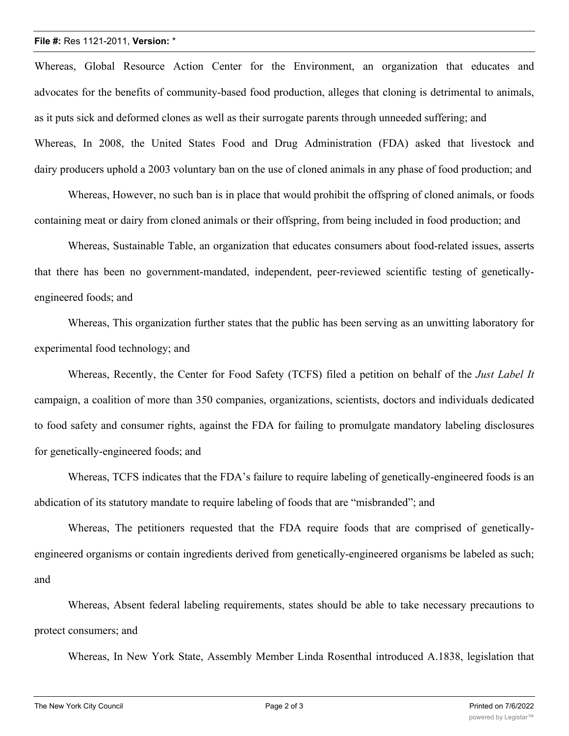## **File #:** Res 1121-2011, **Version:** \*

Whereas, Global Resource Action Center for the Environment, an organization that educates and advocates for the benefits of community-based food production, alleges that cloning is detrimental to animals, as it puts sick and deformed clones as well as their surrogate parents through unneeded suffering; and Whereas, In 2008, the United States Food and Drug Administration (FDA) asked that livestock and dairy producers uphold a 2003 voluntary ban on the use of cloned animals in any phase of food production; and

Whereas, However, no such ban is in place that would prohibit the offspring of cloned animals, or foods containing meat or dairy from cloned animals or their offspring, from being included in food production; and

Whereas, Sustainable Table, an organization that educates consumers about food-related issues, asserts that there has been no government-mandated, independent, peer-reviewed scientific testing of geneticallyengineered foods; and

Whereas, This organization further states that the public has been serving as an unwitting laboratory for experimental food technology; and

Whereas, Recently, the Center for Food Safety (TCFS) filed a petition on behalf of the *Just Label It* campaign, a coalition of more than 350 companies, organizations, scientists, doctors and individuals dedicated to food safety and consumer rights, against the FDA for failing to promulgate mandatory labeling disclosures for genetically-engineered foods; and

Whereas, TCFS indicates that the FDA's failure to require labeling of genetically-engineered foods is an abdication of its statutory mandate to require labeling of foods that are "misbranded"; and

Whereas, The petitioners requested that the FDA require foods that are comprised of geneticallyengineered organisms or contain ingredients derived from genetically-engineered organisms be labeled as such; and

Whereas, Absent federal labeling requirements, states should be able to take necessary precautions to protect consumers; and

Whereas, In New York State, Assembly Member Linda Rosenthal introduced A.1838, legislation that